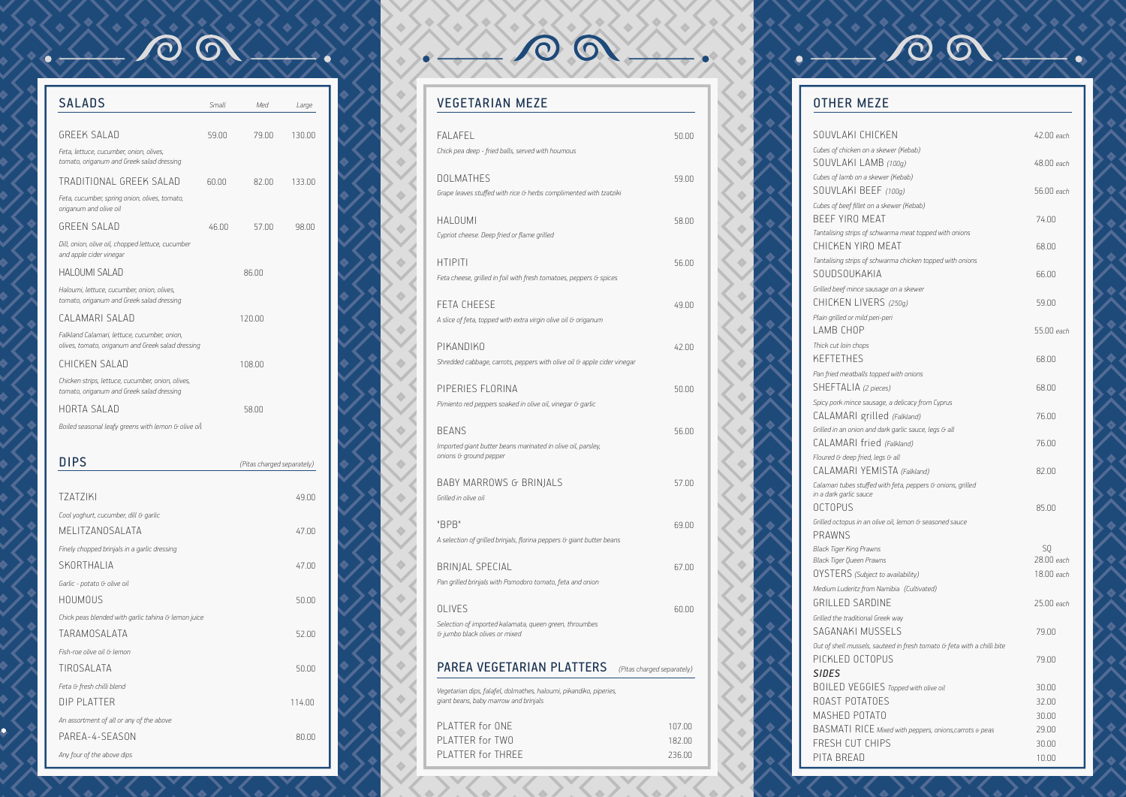| <b>SALADS</b>                                                                                     | Small  | Med                        | Large  |
|---------------------------------------------------------------------------------------------------|--------|----------------------------|--------|
|                                                                                                   |        |                            |        |
| <b>GREEK SALAD</b>                                                                                | 59.00  | 79.00                      | 130.00 |
| Feta, lettuce, cucumber, onion, olives,<br>tomato, origanum and Greek salad dressing              |        |                            |        |
| TRADITIONAL GREEK SALAD                                                                           | 60 N O | 82.00                      | 133.00 |
| Feta, cucumber, spring onion, olives, tomato,<br>origanum and olive oil                           |        |                            |        |
| <b>GREEN SALAD</b>                                                                                | 46.00  | 57.00                      | 98.00  |
| Dill, onion, olive oil, chopped lettuce, cucumber<br>and apple cider vinegar                      |        |                            |        |
| HAI OUMI SAI AD                                                                                   |        | 86.00                      |        |
| Haloumi, lettuce, cucumber, onion, olives,<br>tomato, origanum and Greek salad dressing           |        |                            |        |
| CAI AMARI SAI AN                                                                                  |        | 120.00                     |        |
| Falkland Calamari, lettuce, cucumber, onion,<br>olives, tomato, origanum and Greek salad dressing |        |                            |        |
| CHICKEN SALAD                                                                                     |        | 108.00                     |        |
| Chicken strips, lettuce, cucumber, onion, olives,<br>tomato, origanum and Greek salad dressing    |        |                            |        |
| HORTA SALAD                                                                                       |        | 58.00                      |        |
| Boiled seasonal leafy greens with lemon G olive oil                                               |        |                            |        |
| DIPS                                                                                              |        | (Pitas charged separately) |        |

 $\odot$ 

 $\bigcirc$ 

| <b>TZATZIKI</b>                                     | 49.00  |  |
|-----------------------------------------------------|--------|--|
| Cool yoghurt, cucumber, dill G garlic               |        |  |
| MELITZANOSALATA                                     | 47.00  |  |
| Finely chopped brinjals in a garlic dressing        |        |  |
| SKORTHALIA                                          | 47.00  |  |
| Garlic - potato G olive oil                         |        |  |
| <b>HOUMOUS</b>                                      | 50.00  |  |
| Chick peas blended with garlic tahina G lemon juice |        |  |
| TARAMOSALATA                                        | 52.00  |  |
| Fish-roe olive oil G lemon                          |        |  |
| TIROSALATA                                          | 50.00  |  |
| Feta G fresh chilli blend                           |        |  |
| <b>DIP PLATTER</b>                                  | 114.00 |  |
| An assortment of all or any of the above            |        |  |
| PAREA-4-SEASON                                      | 80.00  |  |
| Any four of the above dips                          |        |  |

### VEGETARIAN MEZE

 $\sqrt{2}$ 

| <b>FALAFEL</b><br>Chick pea deep - fried balls, served with houmous                                         | 50.00 |
|-------------------------------------------------------------------------------------------------------------|-------|
| <b>DOLMATHES</b><br>Grape leaves stuffed with rice G herbs complimented with tzatziki                       | 59.00 |
| <b>HALOUMI</b><br>Cypriot cheese. Deep fried or flame grilled                                               | 58.00 |
| <b>HTIPITI</b><br>Feta cheese, grilled in foil with fresh tomatoes, peppers G spices                        | 56.00 |
| <b>FETA CHEESE</b><br>A slice of feta, topped with extra virgin olive oil G origanum                        | 49.00 |
| PIKANDIKO<br>Shredded cabbage, carrots, peppers with olive oil G apple cider vinegar                        | 42.00 |
| PIPERIES FLORINA<br>Pimiento red peppers soaked in olive oil, vinegar G garlic                              | 50.00 |
| <b>BEANS</b><br>Imported giant butter beans marinated in olive oil, parsley,<br>onions G ground pepper      | 56.00 |
| <b>BABY MARROWS G BRINJALS</b><br>Grilled in olive oil                                                      | 57.00 |
| "BPB"<br>A selection of grilled brinjals, florina peppers G giant butter beans                              | 6900  |
| BRINJAL SPECIAL<br>Pan grilled brinjals with Pomodoro tomato, feta and onion                                | 67.00 |
| <b>OLIVES</b><br>Selection of imported kalamata, queen green, throumbes<br>G jumbo black olives or mixed    | 60.OO |
| PAREA VEGETARIAN PLATTERS<br>(Pitas charged separately)                                                     |       |
| Vegetarian dips, falafel, dolmathes, haloumi, pikandiko, piperies,<br>giant beans, baby marrow and brinjals |       |

 $O$   $O$ 

| PLATTER for ONE   | 107.00        |
|-------------------|---------------|
| PLATTER for TWO   | 182.00        |
| PLATTER for THRFF | <b>236 00</b> |
|                   |               |

# OTHER MEZE

**A** 

SOUVLAK *Cubes of chick* SOUVLAKI LAMB *(100g)* 48.00 *each Cubes of lamb* SOUVLAKI BEEF *(100g)* 56.00 *each Cubes of beef* BEEF YIR  $T$ antalising stri CHICKEN  $T$ antalising stri SOUDSOL *Grilled beef m* CHICKEN LIVERS *(250g)* 59.00 *Plain grilled or mild peri-peri* LAMB CH *Thick cut loin* KEFTETH *Pan fried mea* SHEFTAL *Spicy pork mince sausage, a delicacy from Cyprus*  $CALAMAR$ *Grilled in an or*  $CALAMAF$ *Floured G* dee  $CALAMAR$  $\emph{Calamari tube}$ *in a dark garlic sauce* 0CTOPUS *Grilled octopu* PRAWNS *Black Tiger Kir Black Tiger Queen Prawns* 28.00 *eac* OYSTERS *(Subject to availability)* 18.00 *each Medium Luder* GRILLED *Grilled the traditional* SAGANAK *Out of shell m* PICKLED *SIDES* BOILED **V** ROAST PI MASHED  $BASMATI$ FRESH CL PITA BRE

**A** 

00

| <b><i>SI CHICKEN</i></b>                                    | 42.00 each       |
|-------------------------------------------------------------|------------------|
| ken on a skewer (Kebab)                                     |                  |
| 100g) SI LAMB                                               | 48.00 each       |
| b on a skewer (Kebab)                                       |                  |
| 1 BEEF (100g)                                               | 56.00 each       |
| f fillet on a skewer (Kebab)                                |                  |
| <b>O MEAT</b>                                               | 74.00            |
| rips of schwarma meat topped with onions                    |                  |
| YIRO MEAT                                                   | 68.00            |
| rips of schwarma chicken topped with onions                 |                  |
| jkakia                                                      | 66.00            |
| ince sausage on a skewer                                    |                  |
| LIVERS $(250g)$                                             | 59.00            |
| r mild peri-peri                                            |                  |
| IOP                                                         | 55.00 each       |
| chops                                                       |                  |
| IES                                                         | 68.00            |
| atballs topped with onions                                  |                  |
| .IA (2 pieces)                                              | 68.00            |
| ince sausage, a delicacy from Cyprus                        |                  |
| RI grilled <i>(Falkland)</i>                                | 76.00            |
| nion and dark garlic sauce, legs G all                      |                  |
| RI fried <i>(Falkland)</i>                                  | 76.00            |
| ep fried, legs G all                                        |                  |
| RI YEMISTA (Falkland)                                       | 82.00            |
| es stuffed with feta, peppers G onions, grilled<br>ic sauce |                  |
| ζ                                                           | 85.00            |
| is in an olive oil, lemon G seasoned sauce                  |                  |
|                                                             |                  |
| ing Prawns<br>ueen Prawns                                   | SQ<br>28.00 each |
| (Subject to availability)                                   | 18.00 each       |
| ritz from Namibia (Cultivated)                              |                  |
|                                                             |                  |
| SARDINE                                                     | 25.00 each       |
| ditional Greek way<br><b>KI MUSSELS</b>                     | 79.00            |
| nussels, sauteed in fresh tomato G feta with a chilli bite  |                  |
| <b>OCTOPUS</b>                                              | 79.00            |
|                                                             |                  |
| <b>JEGGIES</b> Topped with olive oil                        | 30.00            |
| <b>OTATOES</b>                                              | 32.00            |
| <b>POTATO</b>                                               | 30.00            |
| $ RICE$ Mixed with peppers, onions, carrots $\sigma$ peas   | 29.00            |
| UT CHIPS                                                    | 30.00            |
| EAD                                                         | 10.00            |
|                                                             |                  |